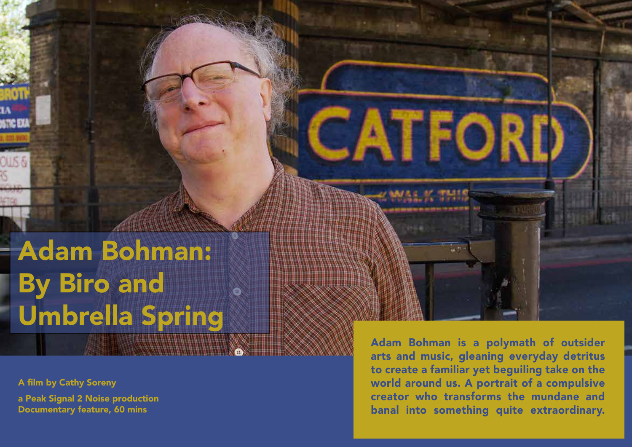Adam Bohman: By Biro and Umbrella Spring

A film by Cathy Soreny

a Peak Signal 2 Noise production Documentary feature, 60 mins

Adam Bohman is a polymath of outsider arts and music, gleaning everyday detritus to create a familiar yet beguiling take on the world around us. A portrait of a compulsive creator who transforms the mundane and banal into something quite extraordinary.

CATFORI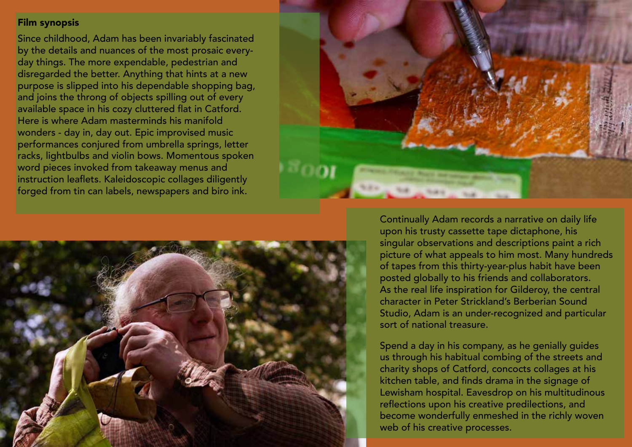# Film synopsis

Since childhood, Adam has been invariably fascinated by the details and nuances of the most prosaic everyday things. The more expendable, pedestrian and disregarded the better. Anything that hints at a new purpose is slipped into his dependable shopping bag, and joins the throng of objects spilling out of every available space in his cozy cluttered flat in Catford. Here is where Adam masterminds his manifold wonders - day in, day out. Epic improvised music performances conjured from umbrella springs, letter racks, lightbulbs and violin bows. Momentous spoken word pieces invoked from takeaway menus and instruction leaflets. Kaleidoscopic collages diligently forged from tin can labels, newspapers and biro ink.





Continually Adam records a narrative on daily life upon his trusty cassette tape dictaphone, his singular observations and descriptions paint a rich picture of what appeals to him most. Many hundreds of tapes from this thirty-year-plus habit have been posted globally to his friends and collaborators. As the real life inspiration for Gilderoy, the central character in Peter Strickland's Berberian Sound Studio, Adam is an under-recognized and particular sort of national treasure.

Spend a day in his company, as he genially guides us through his habitual combing of the streets and charity shops of Catford, concocts collages at his kitchen table, and finds drama in the signage of Lewisham hospital. Eavesdrop on his multitudinous reflections upon his creative predilections, and become wonderfully enmeshed in the richly woven web of his creative processes.